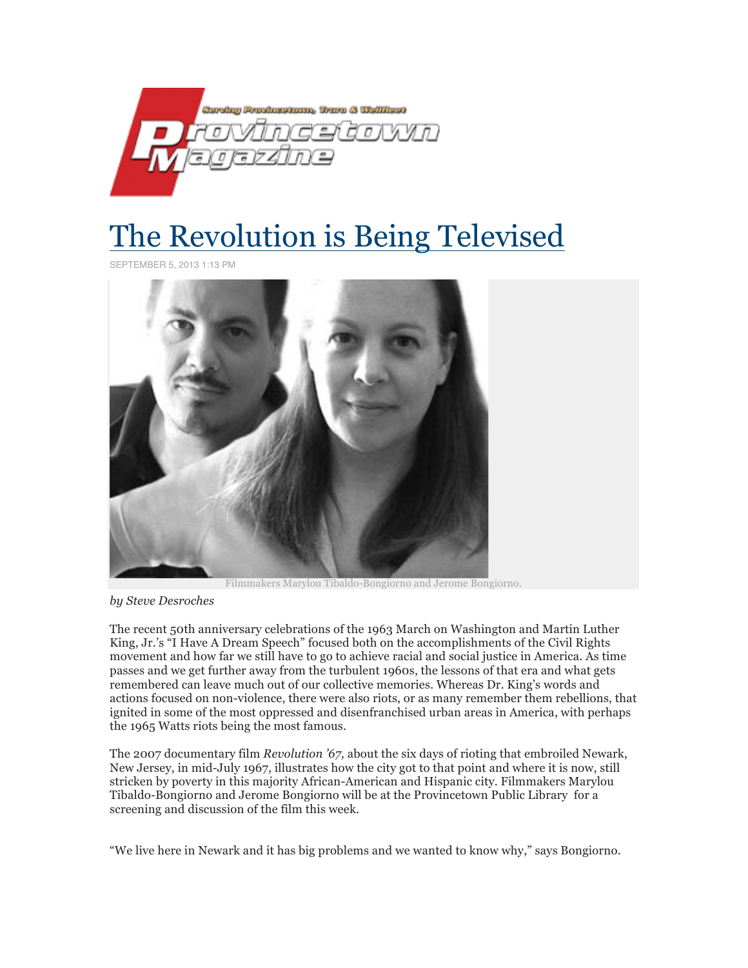

## The Revolution is Being Televised

SEPTEMBER 5, 2013 1:13 PM



Filmmakers Marylou Tibaldo-Bongiorno and Jerome Bongiorno.

*by Steve Desroches*

The recent 50th anniversary celebrations of the 1963 March on Washington and Martin Luther King, Jr.'s "I Have A Dream Speech" focused both on the accomplishments of the Civil Rights movement and how far we still have to go to achieve racial and social justice in America. As time passes and we get further away from the turbulent 1960s, the lessons of that era and what gets remembered can leave much out of our collective memories. Whereas Dr. King's words and actions focused on non-violence, there were also riots, or as many remember them rebellions, that ignited in some of the most oppressed and disenfranchised urban areas in America, with perhaps the 1965 Watts riots being the most famous.

The 2007 documentary film *Revolution '67,* about the six days of rioting that embroiled Newark, New Jersey, in mid-July 1967, illustrates how the city got to that point and where it is now, still stricken by poverty in this majority African-American and Hispanic city. Filmmakers Marylou Tibaldo-Bongiorno and Jerome Bongiorno will be at the Provincetown Public Library for a screening and discussion of the film this week.

"We live here in Newark and it has big problems and we wanted to know why," says Bongiorno.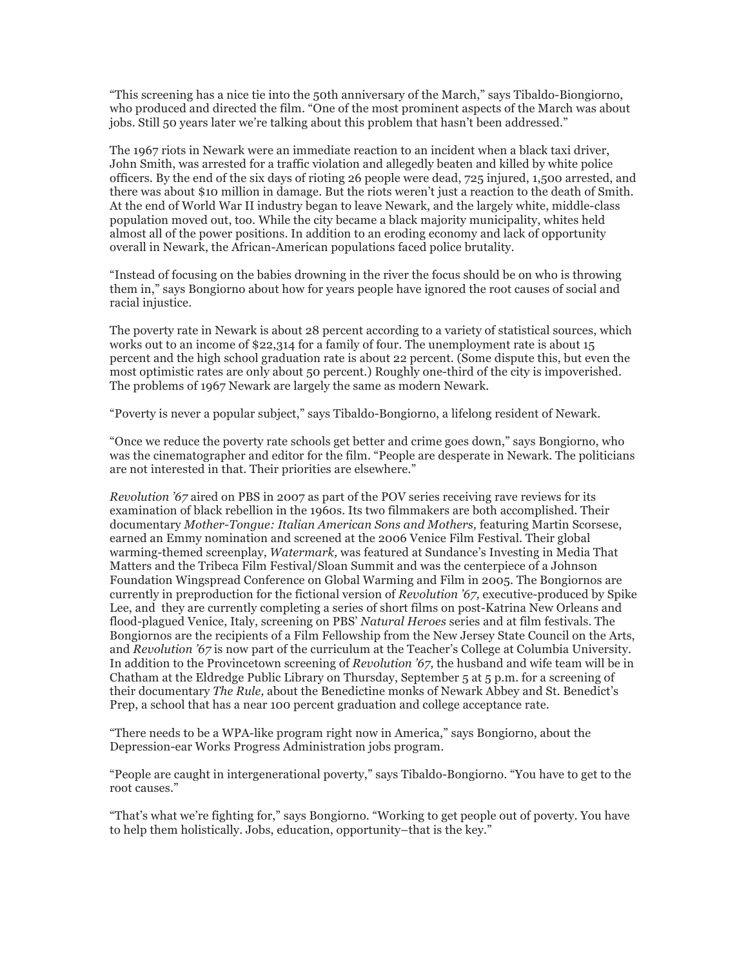"This screening has a nice tie into the 50th anniversary of the March," says Tibaldo-Biongiorno, who produced and directed the film. "One of the most prominent aspects of the March was about jobs. Still 50 years later we're talking about this problem that hasn't been addressed."

The 1967 riots in Newark were an immediate reaction to an incident when a black taxi driver, John Smith, was arrested for a traffic violation and allegedly beaten and killed by white police officers. By the end of the six days of rioting 26 people were dead, 725 injured, 1,500 arrested, and there was about \$10 million in damage. But the riots weren't just a reaction to the death of Smith. At the end of World War II industry began to leave Newark, and the largely white, middle-class population moved out, too. While the city became a black majority municipality, whites held almost all of the power positions. In addition to an eroding economy and lack of opportunity overall in Newark, the African-American populations faced police brutality.

"Instead of focusing on the babies drowning in the river the focus should be on who is throwing them in," says Bongiorno about how for years people have ignored the root causes of social and racial injustice.

The poverty rate in Newark is about 28 percent according to a variety of statistical sources, which works out to an income of \$22,314 for a family of four. The unemployment rate is about 15 percent and the high school graduation rate is about 22 percent. (Some dispute this, but even the most optimistic rates are only about 50 percent.) Roughly one-third of the city is impoverished. The problems of 1967 Newark are largely the same as modern Newark.

"Poverty is never a popular subject," says Tibaldo-Bongiorno, a lifelong resident of Newark.

"Once we reduce the poverty rate schools get better and crime goes down," says Bongiorno, who was the cinematographer and editor for the film. "People are desperate in Newark. The politicians are not interested in that. Their priorities are elsewhere."

*Revolution '67* aired on PBS in 2007 as part of the POV series receiving rave reviews for its examination of black rebellion in the 1960s. Its two filmmakers are both accomplished. Their documentary *Mother-Tongue: Italian American Sons and Mothers,* featuring Martin Scorsese, earned an Emmy nomination and screened at the 2006 Venice Film Festival. Their global warming-themed screenplay, *Watermark,* was featured at Sundance's Investing in Media That Matters and the Tribeca Film Festival/Sloan Summit and was the centerpiece of a Johnson Foundation Wingspread Conference on Global Warming and Film in 2005. The Bongiornos are currently in preproduction for the fictional version of *Revolution '67,* executive-produced by Spike Lee, and they are currently completing a series of short films on post-Katrina New Orleans and flood-plagued Venice, Italy, screening on PBS' *Natural Heroes* series and at film festivals. The Bongiornos are the recipients of a Film Fellowship from the New Jersey State Council on the Arts, and *Revolution '67* is now part of the curriculum at the Teacher's College at Columbia University. In addition to the Provincetown screening of *Revolution '67,* the husband and wife team will be in Chatham at the Eldredge Public Library on Thursday, September 5 at 5 p.m. for a screening of their documentary *The Rule,* about the Benedictine monks of Newark Abbey and St. Benedict's Prep, a school that has a near 100 percent graduation and college acceptance rate.

"There needs to be a WPA-like program right now in America," says Bongiorno, about the Depression-ear Works Progress Administration jobs program.

"People are caught in intergenerational poverty," says Tibaldo-Bongiorno. "You have to get to the root causes."

"That's what we're fighting for," says Bongiorno. "Working to get people out of poverty. You have to help them holistically. Jobs, education, opportunity–that is the key."